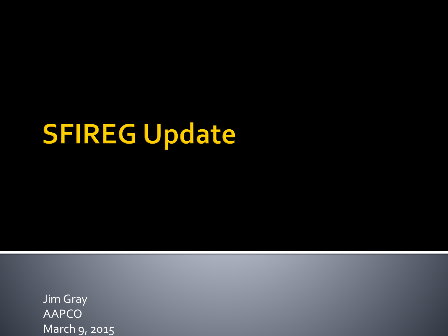# **SFIREG Update**

Jim Gray AAPCO March 9, 2015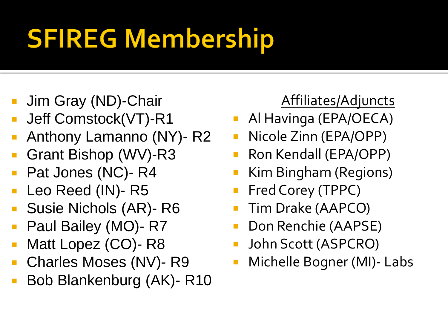## **SFIREG Membership**

- Jim Gray (ND)-Chair
- Jeff Comstock(VT)-R1
- Anthony Lamanno (NY)- R2
- Grant Bishop (WV)-R3
- Pat Jones (NC)- R4
- Leo Reed (IN)- R5
- Susie Nichols (AR)- R6
- Paul Bailey (MO)- R7
- Matt Lopez (CO)- R8
- Charles Moses (NV)- R9
- Bob Blankenburg (AK)- R10

#### Affiliates/Adjuncts

- **Al Havinga (EPA/OECA)**
- **Nicole Zinn (EPA/OPP)**
- Ron Kendall (EPA/OPP)
- Kim Bingham (Regions)
- Fred Corey (TPPC)
- Tim Drake (AAPCO)
- Don Renchie (AAPSE)
- John Scott (ASPCRO)
- Michelle Bogner (MI)- Labs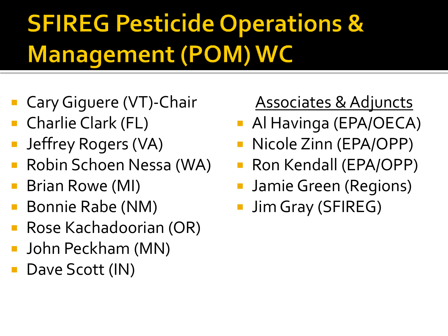## **SFIREG Pesticide Operations & Management (POM) WC**

- Cary Giguere (VT)-Chair
- Charlie Clark (FL)
- Jeffrey Rogers (VA)
- Robin Schoen Nessa (WA)
- Brian Rowe (MI)
- Bonnie Rabe (NM)
- Rose Kachadoorian (OR)
- John Peckham (MN)
- Dave Scott (IN)

### Associates & Adjuncts

- Al Havinga (EPA/OECA)
- Nicole Zinn (EPA/OPP)
- Ron Kendall (EPA/OPP)
- Jamie Green (Regions)
- Jim Gray (SFIREG)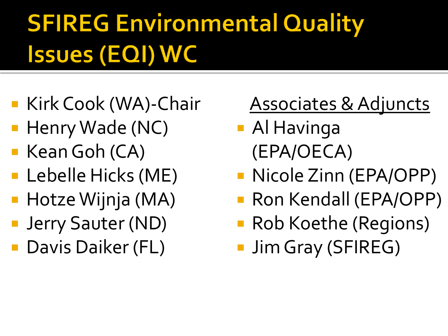## **SFIREG Environmental Quality Issues (EQI) WC**

- Kirk Cook (WA)-Chair
- **Henry Wade (NC)**
- Kean Goh (CA)
- **Lebelle Hicks (ME)**
- **Hotze Wijnja (MA)**
- **Jerry Sauter (ND)**
- **Davis Daiker (FL)**

### Associates & Adjuncts

- **Al Havinga** (EPA/OECA)
- **Nicole Zinn (EPA/OPP)**
- Ron Kendall (EPA/OPP)
- Rob Koethe (Regions)
- **Jim Gray (SFIREG)**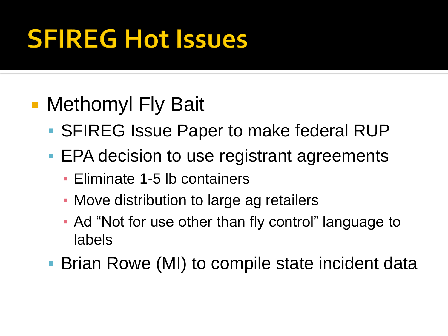### **SFIREG Hot Issues**

- **Methomyl Fly Bait** 
	- SFIREG Issue Paper to make federal RUP
	- **EPA decision to use registrant agreements** 
		- Eliminate 1-5 lb containers
		- **Move distribution to large ag retailers**
		- Ad "Not for use other than fly control" language to labels
	- Brian Rowe (MI) to compile state incident data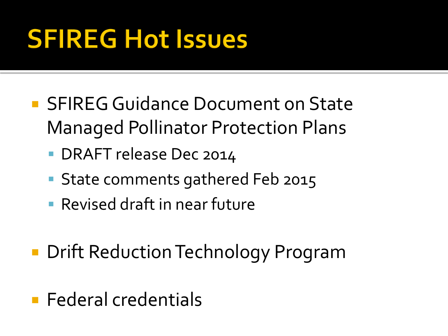### **SFIREG Hot Issues**

- **SFIREG Guidance Document on State** Managed Pollinator Protection Plans
	- **DRAFT release Dec 2014**
	- **State comments gathered Feb 2015**
	- Revised draft in near future
- **Drift Reduction Technology Program**
- **Federal credentials**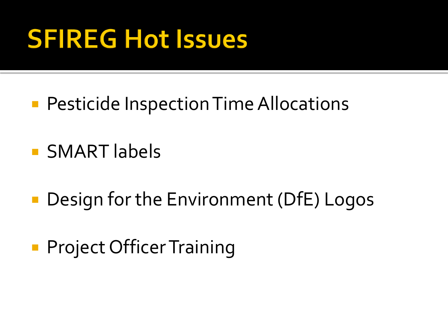### **SFIREG Hot Issues**

- **Pesticide Inspection Time Allocations**
- **SMART** labels
- Design for the Environment (DfE) Logos
- **Project Officer Training**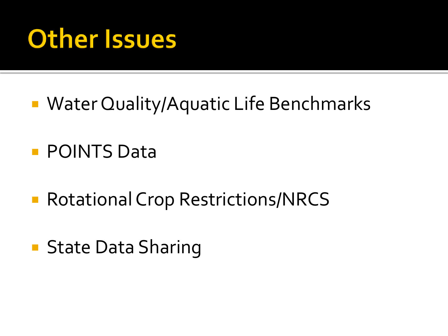### **Other Issues**

- **Water Quality/Aquatic Life Benchmarks**
- **POINTS Data**
- Rotational Crop Restrictions/NRCS
- **State Data Sharing**